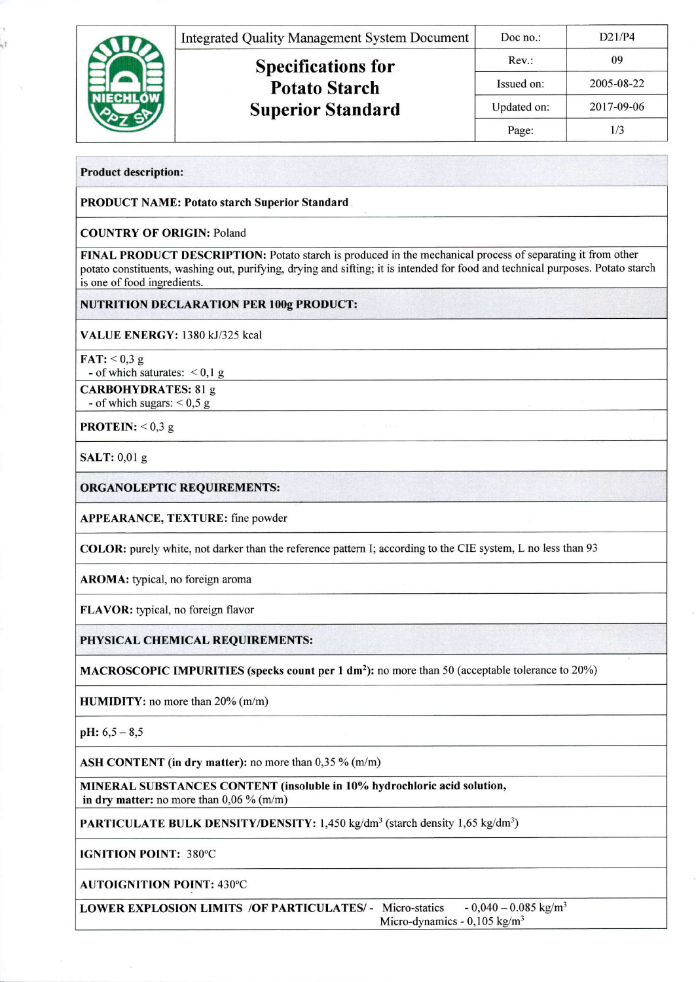|  | <b>Integrated Quality Management System Document</b> | Doc no.:    | D21/P4     |
|--|------------------------------------------------------|-------------|------------|
|  | <b>Specifications for</b>                            | Rev:        | 09         |
|  | <b>Potato Starch</b><br><b>Superior Standard</b>     | Issued on:  | 2005-08-22 |
|  |                                                      | Updated on: | 2017-09-06 |
|  |                                                      | Page:       | 1/3        |

**Product description:** 

h, t

**PRODUCT NAME: Potato starch Superior Standard** 

**COUNTRY OF ORIGIN: Poland** 

FINAL PRODUCT DESCRIPTION: Potato starch is produced in the mechanical process of separating it from other potato constituents, washing out, purifying, drying and sifting; it is intended for food and technical purposes. Potato starch is one of food ingredients.

**NUTRITION DECLARATION PER 100g PRODUCT:** 

VALUE ENERGY: 1380 kJ/325 kcal

 $\textbf{FAT:} \leq 0.3 \text{ g}$ 

- of which saturates:  $< 0.1 g$ 

**CARBOHYDRATES: 81 g** - of which sugars:  $< 0.5$  g

**PROTEIN:**  $< 0.3 g$ 

SALT: 0,01 g

**ORGANOLEPTIC REQUIREMENTS:** 

**APPEARANCE, TEXTURE: fine powder** 

COLOR: purely white, not darker than the reference pattern I; according to the CIE system, L no less than 93

AROMA: typical, no foreign aroma

FLAVOR: typical, no foreign flavor

PHYSICAL CHEMICAL REQUIREMENTS:

MACROSCOPIC IMPURITIES (specks count per 1 dm<sup>2</sup>): no more than 50 (acceptable tolerance to 20%)

HUMIDITY: no more than 20% (m/m)

 $pH: 6, 5 - 8, 5$ 

ASH CONTENT (in dry matter): no more than 0,35 % (m/m)

MINERAL SUBSTANCES CONTENT (insoluble in 10% hydrochloric acid solution, in dry matter: no more than  $0,06\%$  (m/m)

**PARTICULATE BULK DENSITY/DENSITY:** 1,450 kg/dm<sup>3</sup> (starch density 1,65 kg/dm<sup>3</sup>)

**IGNITION POINT: 380°C** 

**AUTOIGNITION POINT: 430°C** 

**LOWER EXPLOSION LIMITS /OF PARTICULATES/ - Micro-statics**  $-0.040 - 0.085$  kg/m<sup>3</sup> Micro-dynamics -  $0,105$  kg/m<sup>3</sup>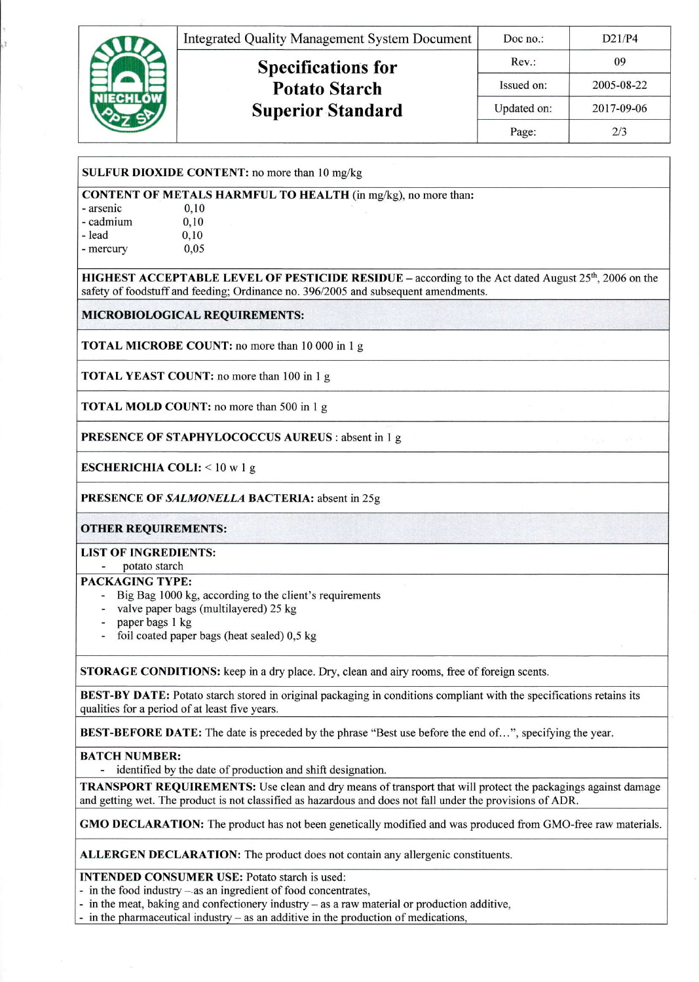

|  |  |  | SULFUR DIOXIDE CONTENT: no more than 10 mg/kg |  |  |
|--|--|--|-----------------------------------------------|--|--|
|--|--|--|-----------------------------------------------|--|--|

CONTENT OF METALS HARMFUL TO HEALTH (in mg/kg), no more than:

| - arsenic | 0.10 |  |
|-----------|------|--|
| - cadmium | 0,10 |  |
| - lead    | 0,10 |  |
| - mercury | 0,05 |  |

**HIGHEST ACCEPTABLE LEVEL OF PESTICIDE RESIDUE** – according to the Act dated August  $25<sup>th</sup>$ , 2006 on the safety of foodstuff and feeding; Ordinance no. 396/2005 and subsequent amendments.

MICROBIOLOGICAL REQUIREMENTS:

TOTAL MICROBE COUNT: no more than 10 000 in 1 g

TOTAL YEAST COUNT: no more than 100 in I g

TOTAL MOLD COUNT: no more than 500 in 1 g

PRESENCE OF STAPHYLOCOCCUS AUREUS : absent in I g

ESCHERICHIA COLI: < 10 w I g

PRESENCE OF SALMONELLA BACTERIA: absent in 25g

OTHER REQUIREMENTS:

LIST OF INGREDIENTS:

potato starch

## PACKAGING TYPE:

- Big Bag 1000 kg, according to the client's requirements
- valve paper bags (multilayered) 25 kg
- paper bags 1 kg
- foil coated paper bags (heat sealed) 0,5 kg

STORAGE CONDITIONS: keep in a dry place. Dry, clean and airy rooms, free of foreign scents.

BEST-BY DATE: Potato starch stored in original packaging in conditions compliant with the specifications retains its qualities for a period of at least five years.

BEST-BEFORE DATE: The date is preceded by the phrase "Best use before the end of...", specifying the year.

BATCH NUMBER:

identified by the date of production and shift designation.

TRANSPORT REQUIREMENTS: Use clean and dry means of transport that will protect the packagings against damage and getting wet. The product is not classified as hazardous and does not fall under the provisions of ADR.

GMO DECLARATION: The product has not been genetically modified and was produced from GMO-fiee raw materials.

ALLERGEN DECLARATION: The product does not contain any allergenic constituents.

INTENDED CONSUMER USE; Potato starch is used:

- in the food industry - as an ingredient of food concentrates,

- in the meat, baking and confectionery industry – as a raw material or production additive,

- in the pharmaceutical industry  $-$  as an additive in the production of medications,